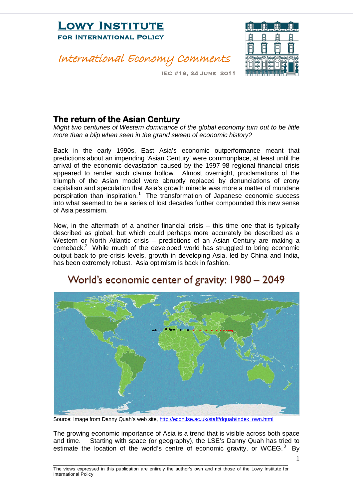#### International Economy Comments



IEC #19, 24 June 2011

#### **The return of the Asian Century**

*Might two centuries of Western dominance of the global economy turn out to be little more than a blip when seen in the grand sweep of economic history?*

Back in the early 1990s, East Asia's economic outperformance meant that predictions about an impending 'Asian Century' were commonplace, at least until the arrival of the economic devastation caused by the 1997-98 regional financial crisis appeared to render such claims hollow. Almost overnight, proclamations of the triumph of the Asian model were abruptly replaced by denunciations of crony capitalism and speculation that Asia's growth miracle was more a matter of mundane perspiration than inspiration.<sup>[1](#page-3-0)</sup> The transformation of Japanese economic success into what seemed to be a series of lost decades further compounded this new sense of Asia pessimism.

Now, in the aftermath of a another financial crisis – this time one that is typically described as global, but which could perhaps more accurately be described as a Western or North Atlantic crisis – predictions of an Asian Century are making a comeback.<sup>[2](#page-3-1)</sup> While much of the developed world has struggled to bring economic output back to pre-crisis levels, growth in developing Asia, led by China and India, has been extremely robust. Asia optimism is back in fashion.



#### World's economic center of gravity: 1980 - 2049

Source: Image from Danny Quah's web site, [http://econ.lse.ac.uk/staff/dquah/index\\_own.html](http://econ.lse.ac.uk/staff/dquah/index_own.html)

The growing economic importance of Asia is a trend that is visible across both space and time. Starting with space (or geography), the LSE's Danny Quah has tried to estimate the location of the world's centre of economic gravity, or WCEG. $3$  By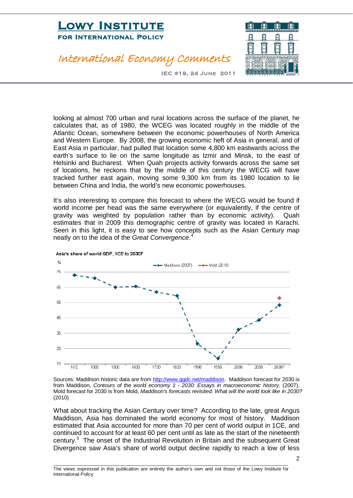### International Economy Comments



IEC #19, 24 June 2011

looking at almost 700 urban and rural locations across the surface of the planet, he calculates that, as of 1980, the WCEG was located roughly in the middle of the Atlantic Ocean, somewhere between the economic powerhouses of North America and Western Europe. By 2008, the growing economic heft of Asia in general, and of East Asia in particular, had pulled that location some 4,800 km eastwards across the earth's surface to lie on the same longitude as Izmir and Minsk, to the east of Helsinki and Bucharest. When Quah projects activity forwards across the same set of locations, he reckons that by the middle of this century the WECG will have tracked further east again, moving some 9,300 km from its 1980 location to lie between China and India, the world's new economic powerhouses.

It's also interesting to compare this forecast to where the WECG would be found if world income per head was the same everywhere (or equivalently, if the centre of gravity was weighted by population rather than by economic activity). Quah estimates that in 2009 this demographic centre of gravity was located in Karachi. Seen in this light, it is easy to see how concepts such as the Asian Century map neatly on to the idea of the *Great Convergence*. [4](#page-3-3)



Asia's share of world GDP, 1CE to 2030F

Sources: Maddison historic data are from [http://www.ggdc.net/maddison.](http://www.ggdc.net/maddison) Maddison forecast for 2030 is from Maddison, *Contours of the world economy 1 - 2030: Essays in macroeconomic history*. (2007). Mold forecast for 2030 is from Mold, *Maddison's forecasts revisited: What will the world look like in 2030?* (2010)

What about tracking the Asian Century over time? According to the late, great Angus Maddison, Asia has dominated the world economy for most of history. Maddison estimated that Asia accounted for more than 70 per cent of world output in 1CE, and continued to account for at least 60 per cent until as late as the start of the nineteenth century. [5](#page-3-4) The onset of the Industrial Revolution in Britain and the subsequent Great Divergence saw Asia's share of world output decline rapidly to reach a low of less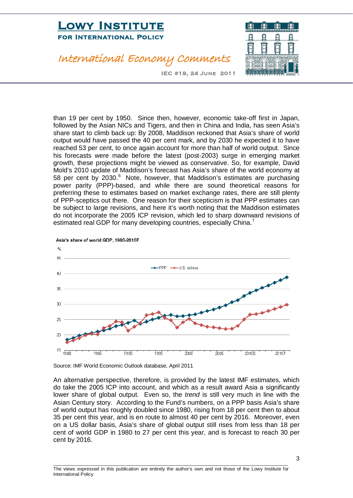### International Economy Comments



IEC #19, 24 June 2011

than 19 per cent by 1950. Since then, however, economic take-off first in Japan, followed by the Asian NICs and Tigers, and then in China and India, has seen Asia's share start to climb back up: By 2008, Maddison reckoned that Asia's share of world output would have passed the 40 per cent mark, and by 2030 he expected it to have reached 53 per cent, to once again account for more than half of world output. Since his forecasts were made before the latest (post-2003) surge in emerging market growth, these projections might be viewed as conservative. So, for example, David Mold's 2010 update of Maddison's forecast has Asia's share of the world economy at 58 per cent by 2030.<sup>[6](#page-3-5)</sup> Note, however, that Maddison's estimates are purchasing power parity (PPP)-based, and while there are sound theoretical reasons for preferring these to estimates based on market exchange rates, there are still plenty of PPP-sceptics out there. One reason for their scepticism is that PPP estimates can be subject to large revisions, and here it's worth noting that the Maddison estimates do not incorporate the 2005 ICP revision, which led to sharp downward revisions of estimated real GDP for many developing countries, especially China.<sup>[7](#page-3-6)</sup>



Asia's share of world GDP, 1980-2016F

Source: IMF World Economic Outlook database, April 2011

An alternative perspective, therefore, is provided by the latest IMF estimates, which do take the 2005 ICP into account, and which as a result award Asia a significantly lower share of global output. Even so, the *trend* is still very much in line with the Asian Century story. According to the Fund's numbers, on a PPP basis Asia's share of world output has roughly doubled since 1980, rising from 18 per cent then to about 35 per cent this year, and is en route to almost 40 per cent by 2016. Moreover, even on a US dollar basis, Asia's share of global output still rises from less than 18 per cent of world GDP in 1980 to 27 per cent this year, and is forecast to reach 30 per cent by 2016.